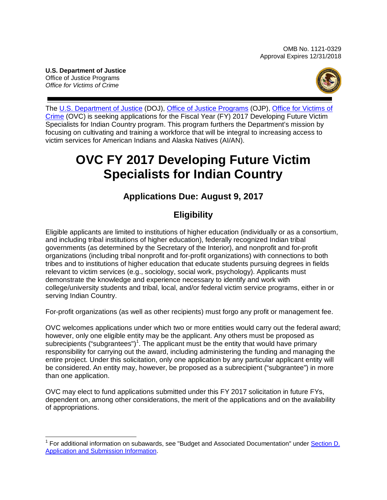**U.S. Department of Justice** Office of Justice Programs *Office for Victims of Crime*



The [U.S. Department of Justice](http://www.usdoj.gov/) (DOJ), [Office of Justice Programs](http://www.ojp.usdoj.gov/) (OJP), Office for [Victims of](http://www.ovc.gov/)  [Crime](http://www.ovc.gov/) (OVC) is seeking applications for the Fiscal Year (FY) 2017 Developing Future Victim Specialists for Indian Country program. This program furthers the Department's mission by focusing on cultivating and training a workforce that will be integral to increasing access to victim services for American Indians and Alaska Natives (AI/AN).

# **OVC FY 2017 Developing Future Victim Specialists for Indian Country**

## **Applications Due: August 9, 2017**

## **Eligibility**

Eligible applicants are limited to institutions of higher education (individually or as a consortium, and including tribal institutions of higher education), federally recognized Indian tribal governments (as determined by the Secretary of the Interior), and nonprofit and for-profit organizations (including tribal nonprofit and for-profit organizations) with connections to both tribes and to institutions of higher education that educate students pursuing degrees in fields relevant to victim services (e.g., sociology, social work, psychology). Applicants must demonstrate the knowledge and experience necessary to identify and work with college/university students and tribal, local, and/or federal victim service programs, either in or serving Indian Country.

For-profit organizations (as well as other recipients) must forgo any profit or management fee.

OVC welcomes applications under which two or more entities would carry out the federal award; however, only one eligible entity may be the applicant. Any others must be proposed as subrecipients ("subgrantees")<sup>[1](#page-0-0)</sup>. The applicant must be the entity that would have primary responsibility for carrying out the award, including administering the funding and managing the entire project. Under this solicitation, only one application by any particular applicant entity will be considered. An entity may, however, be proposed as a subrecipient ("subgrantee") in more than one application.

OVC may elect to fund applications submitted under this FY 2017 solicitation in future FYs, dependent on, among other considerations, the merit of the applications and on the availability of appropriations.

<span id="page-0-0"></span> $\overline{\phantom{a}}$ <sup>1</sup> For additional information on subawards, see "Budget and Associated Documentation" under Section D. [Application and Submission Information.](#page-8-0)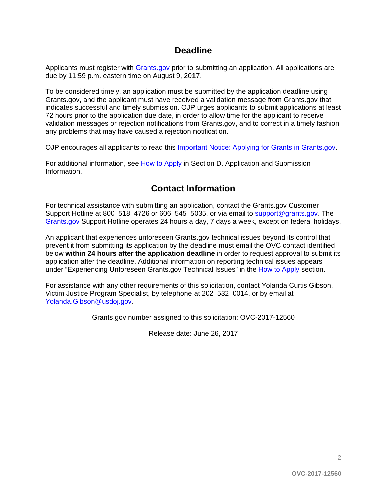### **Deadline**

Applicants must register with [Grants.gov](http://www.grants.gov/web/grants/register.html) prior to submitting an application. All applications are due by 11:59 p.m. eastern time on August 9, 2017.

To be considered timely, an application must be submitted by the application deadline using Grants.gov, and the applicant must have received a validation message from Grants.gov that indicates successful and timely submission. OJP urges applicants to submit applications at least 72 hours prior to the application due date, in order to allow time for the applicant to receive validation messages or rejection notifications from Grants.gov, and to correct in a timely fashion any problems that may have caused a rejection notification.

OJP encourages all applicants to read this Important [Notice: Applying for Grants in Grants.gov.](http://ojp.gov/funding/Apply/Grants-govInfo.htm)

For additional information, see How [to Apply](#page-20-0) in Section D. Application and Submission [Information.](#page-8-0)

## **Contact Information**

For technical assistance with submitting an application, contact the Grants.gov Customer Support Hotline at 800–518–4726 or 606–545–5035, or via email to [support@grants.gov.](mailto:support@grants.gov) The [Grants.gov](http://www.grants.gov/web/grants/support.html) Support Hotline operates 24 hours a day, 7 days a week, except on federal holidays.

An applicant that experiences unforeseen Grants.gov technical issues beyond its control that prevent it from submitting its application by the deadline must email the OVC contact identified below **within 24 hours after the application deadline** in order to request approval to submit its application after the deadline. Additional information on reporting technical issues appears under "Experiencing Unforeseen Grants.gov Technical Issues" in the [How to Apply](#page-20-0) section.

For assistance with any other requirements of this solicitation, contact Yolanda Curtis Gibson, Victim Justice Program Specialist, by telephone at 202–532–0014, or by email at [Yolanda.Gibson@usdoj.gov.](mailto:Yolanda.Gibson@usdoj.gov)

Grants.gov number assigned to this solicitation: OVC-2017-12560

Release date: June 26, 2017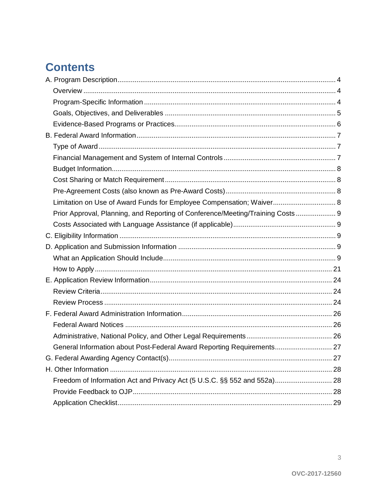## **Contents**

| Limitation on Use of Award Funds for Employee Compensation; Waiver 8           |  |
|--------------------------------------------------------------------------------|--|
| Prior Approval, Planning, and Reporting of Conference/Meeting/Training Costs 9 |  |
|                                                                                |  |
|                                                                                |  |
|                                                                                |  |
|                                                                                |  |
|                                                                                |  |
|                                                                                |  |
|                                                                                |  |
|                                                                                |  |
|                                                                                |  |
|                                                                                |  |
|                                                                                |  |
| General Information about Post-Federal Award Reporting Requirements 27         |  |
|                                                                                |  |
|                                                                                |  |
| Freedom of Information Act and Privacy Act (5 U.S.C. §§ 552 and 552a) 28       |  |
|                                                                                |  |
|                                                                                |  |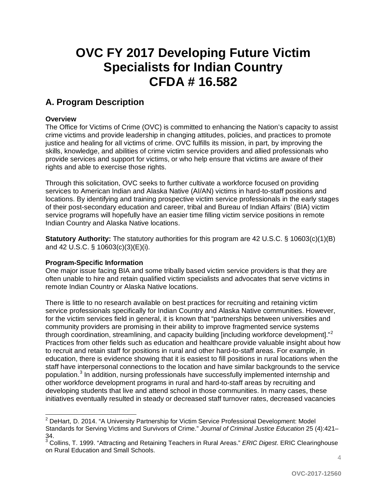# **OVC FY 2017 Developing Future Victim Specialists for Indian Country CFDA # 16.582**

## <span id="page-3-0"></span>**A. Program Description**

#### <span id="page-3-1"></span>**Overview**

The Office for Victims of Crime (OVC) is committed to enhancing the Nation's capacity to assist crime victims and provide leadership in changing attitudes, policies, and practices to promote justice and healing for all victims of crime. OVC fulfills its mission, in part, by improving the skills, knowledge, and abilities of crime victim service providers and allied professionals who provide services and support for victims, or who help ensure that victims are aware of their rights and able to exercise those rights.

Through this solicitation, OVC seeks to further cultivate a workforce focused on providing services to American Indian and Alaska Native (AI/AN) victims in hard-to-staff positions and locations. By identifying and training prospective victim service professionals in the early stages of their post-secondary education and career, tribal and Bureau of Indian Affairs' (BIA) victim service programs will hopefully have an easier time filling victim service positions in remote Indian Country and Alaska Native locations.

**Statutory Authority:** The statutory authorities for this program are 42 U.S.C. § 10603(c)(1)(B) and 42 U.S.C. § 10603(c)(3)(E)(i).

#### <span id="page-3-2"></span>**Program-Specific Information**

One major issue facing BIA and some tribally based victim service providers is that they are often unable to hire and retain qualified victim specialists and advocates that serve victims in remote Indian Country or Alaska Native locations.

There is little to no research available on best practices for recruiting and retaining victim service professionals specifically for Indian Country and Alaska Native communities. However, for the victim services field in general, it is known that "partnerships between universities and community providers are promising in their ability to improve fragmented service systems through coordination, streamlining, and capacity building [including workforce development]."<sup>[2](#page-3-3)</sup> Practices from other fields such as education and healthcare provide valuable insight about how to recruit and retain staff for positions in rural and other hard-to-staff areas. For example, in education, there is evidence showing that it is easiest to fill positions in rural locations when the staff have interpersonal connections to the location and have similar backgrounds to the service population.<sup>[3](#page-3-4)</sup> In addition, nursing professionals have successfully implemented internship and other workforce development programs in rural and hard-to-staff areas by recruiting and developing students that live and attend school in those communities. In many cases, these initiatives eventually resulted in steady or decreased staff turnover rates, decreased vacancies

<span id="page-3-3"></span> $\overline{a}$ <sup>2</sup> DeHart, D. 2014. "A University Partnership for Victim Service Professional Development: Model Standards for Serving Victims and Survivors of Crime." *Journal of Criminal Justice Education* 25 (4):421– 34.

<span id="page-3-4"></span><sup>3</sup> Collins, T. 1999. "Attracting and Retaining Teachers in Rural Areas." *ERIC Digest*. ERIC Clearinghouse on Rural Education and Small Schools.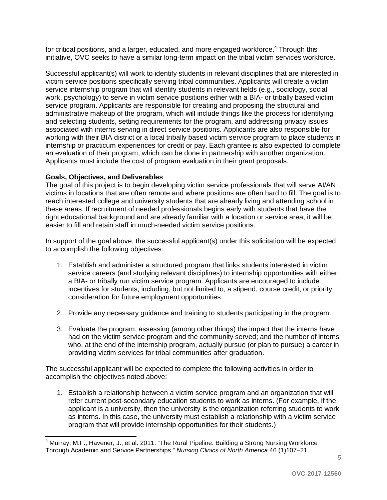for critical positions, and a larger, educated, and more engaged workforce.<sup>[4](#page-4-1)</sup> Through this initiative, OVC seeks to have a similar long-term impact on the tribal victim services workforce.

Successful applicant(s) will work to identify students in relevant disciplines that are interested in victim service positions specifically serving tribal communities. Applicants will create a victim service internship program that will identify students in relevant fields (e.g., sociology, social work, psychology) to serve in victim service positions either with a BIA- or tribally based victim service program. Applicants are responsible for creating and proposing the structural and administrative makeup of the program, which will include things like the process for identifying and selecting students, setting requirements for the program, and addressing privacy issues associated with interns serving in direct service positions. Applicants are also responsible for working with their BIA district or a local tribally based victim service program to place students in internship or practicum experiences for credit or pay. Each grantee is also expected to complete an evaluation of their program, which can be done in partnership with another organization. Applicants must include the cost of program evaluation in their grant proposals.

#### <span id="page-4-0"></span>**Goals, Objectives, and Deliverables**

The goal of this project is to begin developing victim service professionals that will serve AI/AN victims in locations that are often remote and where positions are often hard to fill. The goal is to reach interested college and university students that are already living and attending school in these areas. If recruitment of needed professionals begins early with students that have the right educational background and are already familiar with a location or service area, it will be easier to fill and retain staff in much-needed victim service positions.

In support of the goal above, the successful applicant(s) under this solicitation will be expected to accomplish the following objectives:

- 1. Establish and administer a structured program that links students interested in victim service careers (and studying relevant disciplines) to internship opportunities with either a BIA- or tribally run victim service program. Applicants are encouraged to include incentives for students, including, but not limited to, a stipend, course credit, or priority consideration for future employment opportunities.
- 2. Provide any necessary guidance and training to students participating in the program.
- 3. Evaluate the program, assessing (among other things) the impact that the interns have had on the victim service program and the community served; and the number of interns who, at the end of the internship program, actually pursue (or plan to pursue) a career in providing victim services for tribal communities after graduation.

The successful applicant will be expected to complete the following activities in order to accomplish the objectives noted above:

1. Establish a relationship between a victim service program and an organization that will refer current post-secondary education students to work as interns. (For example, if the applicant is a university, then the university is the organization referring students to work as interns. In this case, the university must establish a relationship with a victim service program that will provide internship opportunities for their students.)

<span id="page-4-1"></span> $\overline{\phantom{a}}$  $^4$  Murray, M.F., Havener, J., et al. 2011. "The Rural Pipeline: Building a Strong Nursing Workforce Through Academic and Service Partnerships." *Nursing Clinics of North America* 46 (1)107–21.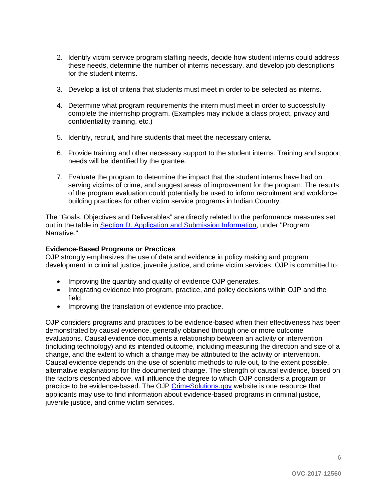- 2. Identify victim service program staffing needs, decide how student interns could address these needs, determine the number of interns necessary, and develop job descriptions for the student interns.
- 3. Develop a list of criteria that students must meet in order to be selected as interns.
- 4. Determine what program requirements the intern must meet in order to successfully complete the internship program. (Examples may include a class project, privacy and confidentiality training, etc.)
- 5. Identify, recruit, and hire students that meet the necessary criteria.
- 6. Provide training and other necessary support to the student interns. Training and support needs will be identified by the grantee.
- 7. Evaluate the program to determine the impact that the student interns have had on serving victims of crime, and suggest areas of improvement for the program. The results of the program evaluation could potentially be used to inform recruitment and workforce building practices for other victim service programs in Indian Country.

The "Goals, Objectives and Deliverables" are directly related to the performance measures set out in the table in [Section D. Application and Submission Information,](#page-8-0) under "Program Narrative."

#### <span id="page-5-0"></span>**Evidence-Based Programs or Practices**

OJP strongly emphasizes the use of data and evidence in policy making and program development in criminal justice, juvenile justice, and crime victim services. OJP is committed to:

- Improving the quantity and quality of evidence OJP generates.
- Integrating evidence into program, practice, and policy decisions within OJP and the field.
- Improving the translation of evidence into practice.

<span id="page-5-1"></span>OJP considers programs and practices to be evidence-based when their effectiveness has been demonstrated by causal evidence, generally obtained through one or more outcome evaluations. Causal evidence documents a relationship between an activity or intervention (including technology) and its intended outcome, including measuring the direction and size of a change, and the extent to which a change may be attributed to the activity or intervention. Causal evidence depends on the use of scientific methods to rule out, to the extent possible, alternative explanations for the documented change. The strength of causal evidence, based on the factors described above, will influence the degree to which OJP considers a program or practice to be evidence-based. The OJP [CrimeSolutions.gov](http://www.crimesolutions.gov/) website is one resource that applicants may use to find information about evidence-based programs in criminal justice, juvenile justice, and crime victim services.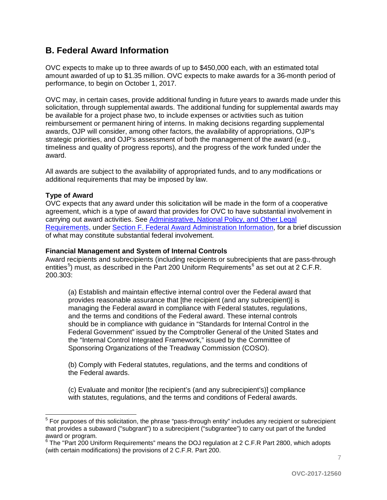## **B. Federal Award Information**

OVC expects to make up to three awards of up to \$450,000 each, with an estimated total amount awarded of up to \$1.35 million. OVC expects to make awards for a 36-month period of performance, to begin on October 1, 2017.

OVC may, in certain cases, provide additional funding in future years to awards made under this solicitation, through supplemental awards. The additional funding for supplemental awards may be available for a project phase two, to include expenses or activities such as tuition reimbursement or permanent hiring of interns. In making decisions regarding supplemental awards, OJP will consider, among other factors, the availability of appropriations, OJP's strategic priorities, and OJP's assessment of both the management of the award (e.g., timeliness and quality of progress reports), and the progress of the work funded under the award.

All awards are subject to the availability of appropriated funds, and to any modifications or additional requirements that may be imposed by law.

#### <span id="page-6-0"></span>**Type of Award**

 $\overline{a}$ 

OVC expects that any award under this solicitation will be made in the form of a cooperative agreement, which is a type of award that provides for OVC to have substantial involvement in carrying out award activities. See [Administrative, National Policy, and Other Legal](#page-25-0)  [Requirements,](#page-25-0) under [Section F. Federal Award Administration Information,](#page-25-0) for a brief discussion of what may constitute substantial federal involvement.

#### <span id="page-6-1"></span>**Financial Management and System of Internal Controls**

Award recipients and subrecipients (including recipients or subrecipients that are pass-through entities<sup>[5](#page-6-2)</sup>) must, as described in the Part 200 Uniform Requirements<sup>[6](#page-6-3)</sup> as set out at 2 C.F.R. 200.303:

(a) Establish and maintain effective internal control over the Federal award that provides reasonable assurance that [the recipient (and any subrecipient)] is managing the Federal award in compliance with Federal statutes, regulations, and the terms and conditions of the Federal award. These internal controls should be in compliance with guidance in "Standards for Internal Control in the Federal Government" issued by the Comptroller General of the United States and the "Internal Control Integrated Framework," issued by the Committee of Sponsoring Organizations of the Treadway Commission (COSO).

(b) Comply with Federal statutes, regulations, and the terms and conditions of the Federal awards.

(c) Evaluate and monitor [the recipient's (and any subrecipient's)] compliance with statutes, regulations, and the terms and conditions of Federal awards.

<span id="page-6-2"></span><sup>&</sup>lt;sup>5</sup> For purposes of this solicitation, the phrase "pass-through entity" includes any recipient or subrecipient that provides a subaward ("subgrant") to a subrecipient ("subgrantee") to carry out part of the funded award or program.

<span id="page-6-3"></span><sup>&</sup>lt;sup>6</sup> The "Part 200 Uniform Requirements" means the DOJ regulation at 2 C.F.R Part 2800, which adopts (with certain modifications) the provisions of 2 C.F.R. Part 200.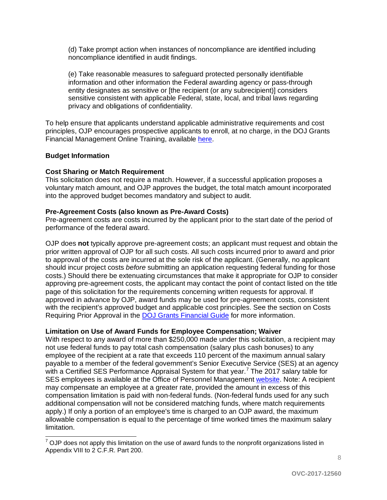(d) Take prompt action when instances of noncompliance are identified including noncompliance identified in audit findings.

(e) Take reasonable measures to safeguard protected personally identifiable information and other information the Federal awarding agency or pass-through entity designates as sensitive or [the recipient (or any subrecipient)] considers sensitive consistent with applicable Federal, state, local, and tribal laws regarding privacy and obligations of confidentiality.

To help ensure that applicants understand applicable administrative requirements and cost principles, OJP encourages prospective applicants to enroll, at no charge, in the DOJ Grants Financial Management Online Training, available [here.](http://ojpfgm.webfirst.com/)

#### <span id="page-7-0"></span>**Budget Information**

#### <span id="page-7-1"></span>**Cost Sharing or Match Requirement**

This solicitation does not require a match. However, if a successful application proposes a voluntary match amount, and OJP approves the budget, the total match amount incorporated into the approved budget becomes mandatory and subject to audit.

#### <span id="page-7-2"></span>**Pre-Agreement Costs (also known as Pre-Award Costs)**

Pre-agreement costs are costs incurred by the applicant prior to the start date of the period of performance of the federal award.

OJP does **not** typically approve pre-agreement costs; an applicant must request and obtain the prior written approval of OJP for all such costs. All such costs incurred prior to award and prior to approval of the costs are incurred at the sole risk of the applicant. (Generally, no applicant should incur project costs *before* submitting an application requesting federal funding for those costs.) Should there be extenuating circumstances that make it appropriate for OJP to consider approving pre-agreement costs, the applicant may contact the point of contact listed on the title page of this solicitation for the requirements concerning written requests for approval. If approved in advance by OJP, award funds may be used for pre-agreement costs, consistent with the recipient's approved budget and applicable cost principles. See the section on Costs Requiring Prior Approval in the [DOJ Grants Financial Guide](http://ojp.gov/financialguide/DOJ/index.htm) for more information.

#### <span id="page-7-3"></span>**Limitation on Use of Award Funds for Employee Compensation; Waiver**

With respect to any award of more than \$250,000 made under this solicitation, a recipient may not use federal funds to pay total cash compensation (salary plus cash bonuses) to any employee of the recipient at a rate that exceeds 110 percent of the maximum annual salary payable to a member of the federal government's Senior Executive Service (SES) at an agency with a Certified SES Performance Appraisal System for that year. [7](#page-7-4) The 2017 salary table for SES employees is available at the Office of Personnel Management [website.](https://www.opm.gov/policy-data-oversight/pay-leave/salaries-wages/salary-tables/17Tables/exec/html/ES.aspx) Note: A recipient may compensate an employee at a greater rate, provided the amount in excess of this compensation limitation is paid with non-federal funds. (Non-federal funds used for any such additional compensation will not be considered matching funds, where match requirements apply.) If only a portion of an employee's time is charged to an OJP award, the maximum allowable compensation is equal to the percentage of time worked times the maximum salary limitation.

<span id="page-7-4"></span> $7$  OJP does not apply this limitation on the use of award funds to the nonprofit organizations listed in Appendix VIII to 2 C.F.R. Part 200.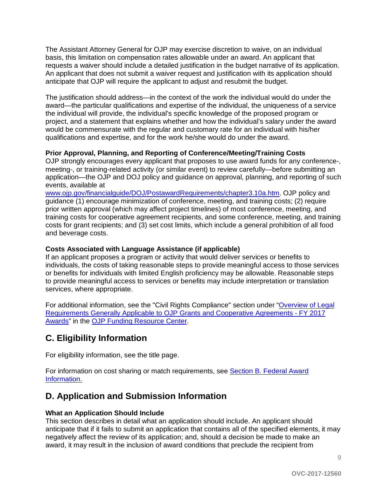The Assistant Attorney General for OJP may exercise discretion to waive, on an individual basis, this limitation on compensation rates allowable under an award. An applicant that requests a waiver should include a detailed justification in the budget narrative of its application. An applicant that does not submit a waiver request and justification with its application should anticipate that OJP will require the applicant to adjust and resubmit the budget.

The justification should address—in the context of the work the individual would do under the award—the particular qualifications and expertise of the individual, the uniqueness of a service the individual will provide, the individual's specific knowledge of the proposed program or project, and a statement that explains whether and how the individual's salary under the award would be commensurate with the regular and customary rate for an individual with his/her qualifications and expertise, and for the work he/she would do under the award.

#### <span id="page-8-1"></span>**Prior Approval, Planning, and Reporting of Conference/Meeting/Training Costs**

OJP strongly encourages every applicant that proposes to use award funds for any conference-, meeting-, or training-related activity (or similar event) to review carefully—before submitting an application—the OJP and DOJ policy and guidance on approval, planning, and reporting of such events, available at

[www.ojp.gov/financialguide/DOJ/PostawardRequirements/chapter3.10a.htm.](http://www.ojp.gov/financialguide/DOJ/PostawardRequirements/chapter3.10a.htm) OJP policy and guidance (1) encourage minimization of conference, meeting, and training costs; (2) require prior written approval (which may affect project timelines) of most conference, meeting, and training costs for cooperative agreement recipients, and some conference, meeting, and training costs for grant recipients; and (3) set cost limits, which include a general prohibition of all food and beverage costs.

#### <span id="page-8-2"></span>**Costs Associated with Language Assistance (if applicable)**

If an applicant proposes a program or activity that would deliver services or benefits to individuals, the costs of taking reasonable steps to provide meaningful access to those services or benefits for individuals with limited English proficiency may be allowable. Reasonable steps to provide meaningful access to services or benefits may include interpretation or translation services, where appropriate.

For additional information, see the "Civil Rights Compliance" section under "Overview of Legal [Requirements Generally Applicable to OJP Grants and Cooperative Agreements -](http://ojp.gov/funding/Explore/SolicitationRequirements/index.htm) FY 2017 [Awards"](http://ojp.gov/funding/Explore/SolicitationRequirements/index.htm) in the [OJP Funding Resource Center.](http://ojp.gov/funding/index.htm)

## <span id="page-8-3"></span>**C. Eligibility Information**

For eligibility information, see the title page.

For information on cost sharing or match requirements, see Section B. Federal Award [Information.](#page-5-1)

### <span id="page-8-0"></span>**D. Application and Submission Information**

#### <span id="page-8-4"></span>**What an Application Should Include**

This section describes in detail what an application should include. An applicant should anticipate that if it fails to submit an application that contains all of the specified elements, it may negatively affect the review of its application; and, should a decision be made to make an award, it may result in the inclusion of award conditions that preclude the recipient from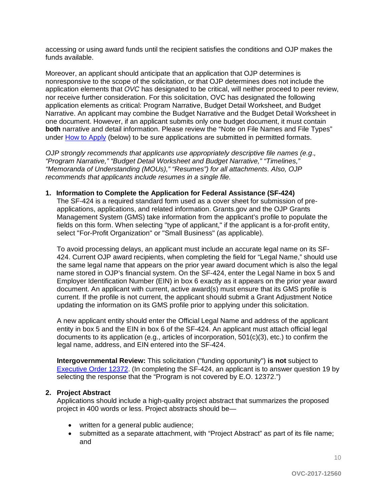accessing or using award funds until the recipient satisfies the conditions and OJP makes the funds available.

Moreover, an applicant should anticipate that an application that OJP determines is nonresponsive to the scope of the solicitation, or that OJP determines does not include the application elements that *OVC* has designated to be critical, will neither proceed to peer review, nor receive further consideration. For this solicitation, OVC has designated the following application elements as critical: Program Narrative, Budget Detail Worksheet, and Budget Narrative. An applicant may combine the Budget Narrative and the Budget Detail Worksheet in one document. However, if an applicant submits only one budget document, it must contain **both** narrative and detail information. Please review the "Note on File Names and File Types" under [How to Apply](#page-20-0) (below) to be sure applications are submitted in permitted formats.

*OJP strongly recommends that applicants use appropriately descriptive file names (e.g*.*, "Program Narrative," "Budget Detail Worksheet and Budget Narrative," "Timelines," "Memoranda of Understanding (MOUs)," "Resumes") for all attachments. Also, OJP recommends that applicants include resumes in a single file.*

#### **1. Information to Complete the Application for Federal Assistance (SF-424)**

The SF-424 is a required standard form used as a cover sheet for submission of preapplications, applications, and related information. Grants.gov and the OJP Grants Management System (GMS) take information from the applicant's profile to populate the fields on this form. When selecting "type of applicant," if the applicant is a for-profit entity, select "For-Profit Organization" or "Small Business" (as applicable).

To avoid processing delays, an applicant must include an accurate legal name on its SF-424. Current OJP award recipients, when completing the field for "Legal Name," should use the same legal name that appears on the prior year award document which is also the legal name stored in OJP's financial system. On the SF-424, enter the Legal Name in box 5 and Employer Identification Number (EIN) in box 6 exactly as it appears on the prior year award document. An applicant with current, active award(s) must ensure that its GMS profile is current. If the profile is not current, the applicant should submit a Grant Adjustment Notice updating the information on its GMS profile prior to applying under this solicitation.

A new applicant entity should enter the Official Legal Name and address of the applicant entity in box 5 and the EIN in box 6 of the SF-424. An applicant must attach official legal documents to its application (e.g., articles of incorporation, 501(c)(3), etc.) to confirm the legal name, address, and EIN entered into the SF-424.

**Intergovernmental Review:** This solicitation ("funding opportunity") **is not** subject to [Executive Order 12372.](http://www.archives.gov/federal-register/codification/executive-order/12372.html) (In completing the SF-424, an applicant is to answer question 19 by selecting the response that the "Program is not covered by E.O. 12372.")

#### **2. Project Abstract**

Applications should include a high-quality project abstract that summarizes the proposed project in 400 words or less. Project abstracts should be—

- written for a general public audience;
- submitted as a separate attachment, with "Project Abstract" as part of its file name; and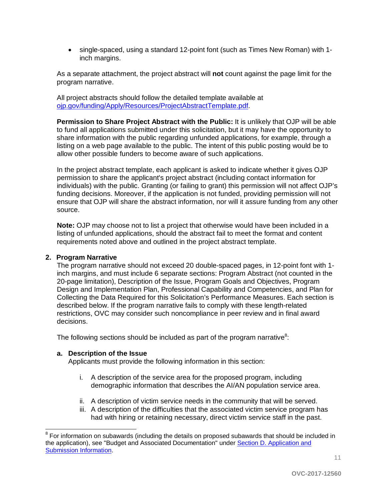• single-spaced, using a standard 12-point font (such as Times New Roman) with 1 inch margins.

As a separate attachment, the project abstract will **not** count against the page limit for the program narrative.

All project abstracts should follow the detailed template available at [ojp.gov/funding/Apply/Resources/ProjectAbstractTemplate.pdf.](http://ojp.gov/funding/Apply/Resources/ProjectAbstractTemplate.pdf)

**Permission to Share Project Abstract with the Public:** It is unlikely that OJP will be able to fund all applications submitted under this solicitation, but it may have the opportunity to share information with the public regarding unfunded applications, for example, through a listing on a web page available to the public. The intent of this public posting would be to allow other possible funders to become aware of such applications.

In the project abstract template, each applicant is asked to indicate whether it gives OJP permission to share the applicant's project abstract (including contact information for individuals) with the public. Granting (or failing to grant) this permission will not affect OJP's funding decisions. Moreover, if the application is not funded, providing permission will not ensure that OJP will share the abstract information, nor will it assure funding from any other source.

**Note:** OJP may choose not to list a project that otherwise would have been included in a listing of unfunded applications, should the abstract fail to meet the format and content requirements noted above and outlined in the project abstract template.

#### **2. Program Narrative**

The program narrative should not exceed 20 double-spaced pages, in 12-point font with 1 inch margins, and must include 6 separate sections: Program Abstract (not counted in the 20-page limitation), Description of the Issue, Program Goals and Objectives, Program Design and Implementation Plan, Professional Capability and Competencies, and Plan for Collecting the Data Required for this Solicitation's Performance Measures. Each section is described below. If the program narrative fails to comply with these length-related restrictions, OVC may consider such noncompliance in peer review and in final award decisions.

The following sections should be included as part of the program narrative $^8\!:\,$  $^8\!:\,$  $^8\!:\,$ 

#### **a. Description of the Issue**

Applicants must provide the following information in this section:

- i. A description of the service area for the proposed program, including demographic information that describes the AI/AN population service area.
- ii. A description of victim service needs in the community that will be served.
- iii. A description of the difficulties that the associated victim service program has had with hiring or retaining necessary, direct victim service staff in the past.

<span id="page-10-0"></span> $8$  For information on subawards (including the details on proposed subawards that should be included in the application), see "Budget and Associated Documentation" under [Section D. Application and](#page-8-0)  [Submission Information.](#page-8-0)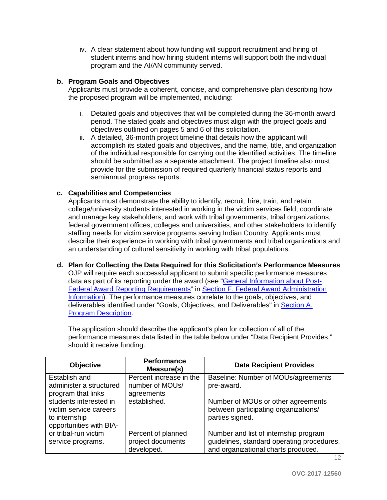iv. A clear statement about how funding will support recruitment and hiring of student interns and how hiring student interns will support both the individual program and the AI/AN community served.

#### **b. Program Goals and Objectives**

Applicants must provide a coherent, concise, and comprehensive plan describing how the proposed program will be implemented, including:

- i. Detailed goals and objectives that will be completed during the 36-month award period. The stated goals and objectives must align with the project goals and objectives outlined on pages 5 and 6 of this solicitation.
- ii. A detailed, 36-month project timeline that details how the applicant will accomplish its stated goals and objectives, and the name, title, and organization of the individual responsible for carrying out the identified activities. The timeline should be submitted as a separate attachment. The project timeline also must provide for the submission of required quarterly financial status reports and semiannual progress reports.

#### **c. Capabilities and Competencies**

Applicants must demonstrate the ability to identify, recruit, hire, train, and retain college/university students interested in working in the victim services field; coordinate and manage key stakeholders; and work with tribal governments, tribal organizations, federal government offices, colleges and universities, and other stakeholders to identify staffing needs for victim service programs serving Indian Country. Applicants must describe their experience in working with tribal governments and tribal organizations and an understanding of cultural sensitivity in working with tribal populations.

**d. Plan for Collecting the Data Required for this Solicitation's Performance Measures** OJP will require each successful applicant to submit specific performance measures data as part of its reporting under the award (see ["General Information about Post-](#page-26-0)[Federal Award Reporting Requirements"](#page-26-0) in [Section F. Federal Award Administration](#page-25-0)  [Information\)](#page-25-0). The performance measures correlate to the goals, objectives, and deliverables identified under "Goals, Objectives, and Deliverables" in [Section A.](#page-3-0)  [Program Description.](#page-3-0)

The application should describe the applicant's plan for collection of all of the performance measures data listed in the table below under "Data Recipient Provides," should it receive funding.

| <b>Objective</b>                             | <b>Performance</b><br>Measure(s) | <b>Data Recipient Provides</b>                          |
|----------------------------------------------|----------------------------------|---------------------------------------------------------|
| Establish and                                | Percent increase in the          | Baseline: Number of MOUs/agreements                     |
| administer a structured                      | number of MOUs/                  | pre-award.                                              |
| program that links<br>students interested in | agreements<br>established.       |                                                         |
| victim service careers                       |                                  | Number of MOUs or other agreements                      |
| to internship                                |                                  | between participating organizations/<br>parties signed. |
| opportunities with BIA-                      |                                  |                                                         |
| or tribal-run victim                         | Percent of planned               | Number and list of internship program                   |
|                                              | project documents                | guidelines, standard operating procedures,              |
| service programs.                            | developed.                       | and organizational charts produced.                     |
|                                              |                                  |                                                         |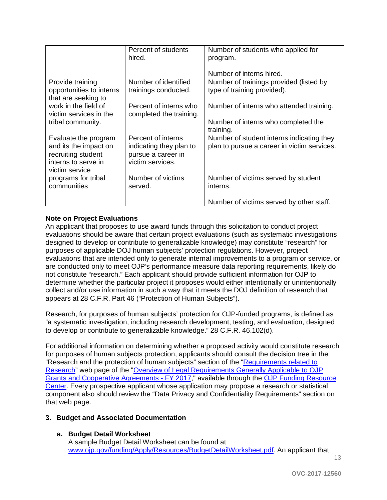|                                                | Percent of students<br>hired. | Number of students who applied for<br>program.  |
|------------------------------------------------|-------------------------------|-------------------------------------------------|
|                                                |                               | Number of interns hired.                        |
| Provide training                               | Number of identified          | Number of trainings provided (listed by         |
| opportunities to interns                       | trainings conducted.          | type of training provided).                     |
| that are seeking to                            |                               |                                                 |
| work in the field of<br>victim services in the | Percent of interns who        | Number of interns who attended training.        |
| tribal community.                              | completed the training.       | Number of interns who completed the             |
|                                                |                               | training.                                       |
| Evaluate the program                           | Percent of interns            | Number of student interns indicating they       |
| and its the impact on                          | indicating they plan to       | plan to pursue a career in victim services.     |
| recruiting student                             | pursue a career in            |                                                 |
| interns to serve in                            | victim services.              |                                                 |
| victim service                                 |                               |                                                 |
| programs for tribal<br>communities             | Number of victims<br>served.  | Number of victims served by student<br>interns. |
|                                                |                               |                                                 |
|                                                |                               | Number of victims served by other staff.        |

#### **Note on Project Evaluations**

An applicant that proposes to use award funds through this solicitation to conduct project evaluations should be aware that certain project evaluations (such as systematic investigations designed to develop or contribute to generalizable knowledge) may constitute "research" for purposes of applicable DOJ human subjects' protection regulations. However, project evaluations that are intended only to generate internal improvements to a program or service, or are conducted only to meet OJP's performance measure data reporting requirements, likely do not constitute "research." Each applicant should provide sufficient information for OJP to determine whether the particular project it proposes would either intentionally or unintentionally collect and/or use information in such a way that it meets the DOJ definition of research that appears at 28 C.F.R. Part 46 ("Protection of Human Subjects").

Research, for purposes of human subjects' protection for OJP-funded programs, is defined as "a systematic investigation, including research development, testing, and evaluation, designed to develop or contribute to generalizable knowledge." 28 C.F.R. 46.102(d).

For additional information on determining whether a proposed activity would constitute research for purposes of human subjects protection, applicants should consult the decision tree in the "Research and the protection of human subjects" section of the ["Requirements related to](http://ojp.gov/funding/Explore/SolicitationRequirements/EvidenceResearchEvaluationRequirements.htm)  [Research"](http://ojp.gov/funding/Explore/SolicitationRequirements/EvidenceResearchEvaluationRequirements.htm) web page of the ["Overview of Legal Requirements Generally Applicable to OJP](http://ojp.gov/funding/Explore/SolicitationRequirements/index.htm)  [Grants and Cooperative Agreements -](http://ojp.gov/funding/Explore/SolicitationRequirements/index.htm) FY 2017," available through the [OJP Funding Resource](http://ojp.gov/funding/index.htm)  [Center.](http://ojp.gov/funding/index.htm) Every prospective applicant whose application may propose a research or statistical component also should review the "Data Privacy and Confidentiality Requirements" section on that web page.

#### **3. Budget and Associated Documentation**

#### **a. Budget Detail Worksheet**

A sample Budget Detail Worksheet can be found at [www.ojp.gov/funding/Apply/Resources/BudgetDetailWorksheet.pdf.](http://ojp.gov/funding/Apply/Resources/BudgetDetailWorksheet.pdf) An applicant that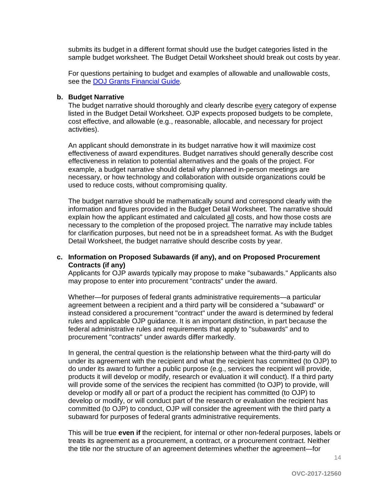submits its budget in a different format should use the budget categories listed in the sample budget worksheet. The Budget Detail Worksheet should break out costs by year.

For questions pertaining to budget and examples of allowable and unallowable costs, see the [DOJ Grants Financial Guide](http://ojp.gov/financialguide/DOJ/index.htm)*.*

#### **b. Budget Narrative**

The budget narrative should thoroughly and clearly describe every category of expense listed in the Budget Detail Worksheet. OJP expects proposed budgets to be complete, cost effective, and allowable (e.g., reasonable, allocable, and necessary for project activities).

An applicant should demonstrate in its budget narrative how it will maximize cost effectiveness of award expenditures. Budget narratives should generally describe cost effectiveness in relation to potential alternatives and the goals of the project. For example, a budget narrative should detail why planned in-person meetings are necessary, or how technology and collaboration with outside organizations could be used to reduce costs, without compromising quality.

The budget narrative should be mathematically sound and correspond clearly with the information and figures provided in the Budget Detail Worksheet. The narrative should explain how the applicant estimated and calculated all costs, and how those costs are necessary to the completion of the proposed project. The narrative may include tables for clarification purposes, but need not be in a spreadsheet format. As with the Budget Detail Worksheet, the budget narrative should describe costs by year.

#### **c. Information on Proposed Subawards (if any), and on Proposed Procurement Contracts (if any)**

Applicants for OJP awards typically may propose to make "subawards." Applicants also may propose to enter into procurement "contracts" under the award.

Whether—for purposes of federal grants administrative requirements—a particular agreement between a recipient and a third party will be considered a "subaward" or instead considered a procurement "contract" under the award is determined by federal rules and applicable OJP guidance. It is an important distinction, in part because the federal administrative rules and requirements that apply to "subawards" and to procurement "contracts" under awards differ markedly.

In general, the central question is the relationship between what the third-party will do under its agreement with the recipient and what the recipient has committed (to OJP) to do under its award to further a public purpose (e.g., services the recipient will provide, products it will develop or modify, research or evaluation it will conduct). If a third party will provide some of the services the recipient has committed (to OJP) to provide, will develop or modify all or part of a product the recipient has committed (to OJP) to develop or modify, or will conduct part of the research or evaluation the recipient has committed (to OJP) to conduct, OJP will consider the agreement with the third party a subaward for purposes of federal grants administrative requirements.

This will be true **even if** the recipient, for internal or other non-federal purposes, labels or treats its agreement as a procurement, a contract, or a procurement contract. Neither the title nor the structure of an agreement determines whether the agreement—for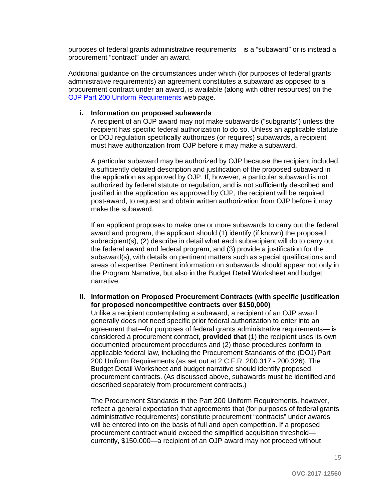purposes of federal grants administrative requirements—is a "subaward" or is instead a procurement "contract" under an award.

Additional guidance on the circumstances under which (for purposes of federal grants administrative requirements) an agreement constitutes a subaward as opposed to a procurement contract under an award, is available (along with other resources) on the [OJP Part 200 Uniform Requirements](http://ojp.gov/funding/Part200UniformRequirements.htm) web page.

#### **i. Information on proposed subawards**

A recipient of an OJP award may not make subawards ("subgrants") unless the recipient has specific federal authorization to do so. Unless an applicable statute or DOJ regulation specifically authorizes (or requires) subawards, a recipient must have authorization from OJP before it may make a subaward.

A particular subaward may be authorized by OJP because the recipient included a sufficiently detailed description and justification of the proposed subaward in the application as approved by OJP. If, however, a particular subaward is not authorized by federal statute or regulation, and is not sufficiently described and justified in the application as approved by OJP, the recipient will be required, post-award, to request and obtain written authorization from OJP before it may make the subaward.

If an applicant proposes to make one or more subawards to carry out the federal award and program, the applicant should (1) identify (if known) the proposed subrecipient(s), (2) describe in detail what each subrecipient will do to carry out the federal award and federal program, and (3) provide a justification for the subaward(s), with details on pertinent matters such as special qualifications and areas of expertise. Pertinent information on subawards should appear not only in the Program Narrative, but also in the Budget Detail Worksheet and budget narrative.

#### **ii. Information on Proposed Procurement Contracts (with specific justification for proposed noncompetitive contracts over \$150,000)**

Unlike a recipient contemplating a subaward, a recipient of an OJP award generally does not need specific prior federal authorization to enter into an agreement that—for purposes of federal grants administrative requirements— is considered a procurement contract, **provided that** (1) the recipient uses its own documented procurement procedures and (2) those procedures conform to applicable federal law, including the Procurement Standards of the (DOJ) Part 200 Uniform Requirements (as set out at 2 C.F.R. 200.317 - 200.326). The Budget Detail Worksheet and budget narrative should identify proposed procurement contracts. (As discussed above, subawards must be identified and described separately from procurement contracts.)

The Procurement Standards in the Part 200 Uniform Requirements, however, reflect a general expectation that agreements that (for purposes of federal grants administrative requirements) constitute procurement "contracts" under awards will be entered into on the basis of full and open competition. If a proposed procurement contract would exceed the simplified acquisition threshold currently, \$150,000—a recipient of an OJP award may not proceed without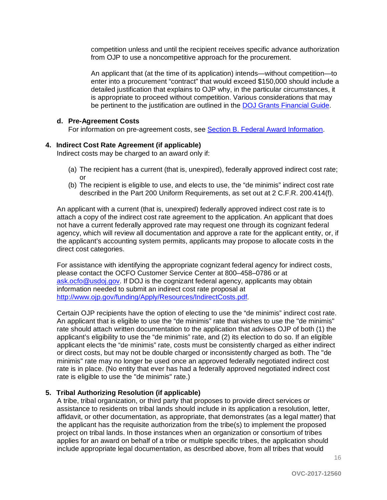competition unless and until the recipient receives specific advance authorization from OJP to use a noncompetitive approach for the procurement.

An applicant that (at the time of its application) intends—without competition—to enter into a procurement "contract" that would exceed \$150,000 should include a detailed justification that explains to OJP why, in the particular circumstances, it is appropriate to proceed without competition. Various considerations that may be pertinent to the justification are outlined in the [DOJ Grants Financial Guide.](http://ojp.gov/financialguide/DOJ/index.htm)

#### **d. Pre-Agreement Costs**

For information on pre-agreement costs, see [Section B. Federal Award Information.](#page-5-1)

#### **4. Indirect Cost Rate Agreement (if applicable)**

Indirect costs may be charged to an award only if:

- (a) The recipient has a current (that is, unexpired), federally approved indirect cost rate; or
- (b) The recipient is eligible to use, and elects to use, the "de minimis" indirect cost rate described in the Part 200 Uniform Requirements, as set out at 2 C.F.R. 200.414(f).

An applicant with a current (that is, unexpired) federally approved indirect cost rate is to attach a copy of the indirect cost rate agreement to the application. An applicant that does not have a current federally approved rate may request one through its cognizant federal agency, which will review all documentation and approve a rate for the applicant entity, or, if the applicant's accounting system permits, applicants may propose to allocate costs in the direct cost categories.

For assistance with identifying the appropriate cognizant federal agency for indirect costs, please contact the OCFO Customer Service Center at 800–458–0786 or at [ask.ocfo@usdoj.gov.](mailto:ask.ocfo@usdoj.gov) If DOJ is the cognizant federal agency, applicants may obtain information needed to submit an indirect cost rate proposal at [http://www.ojp.gov/funding/Apply/Resources/IndirectCosts.pdf.](http://www.ojp.gov/funding/Apply/Resources/IndirectCosts.pdf)

Certain OJP recipients have the option of electing to use the "de minimis" indirect cost rate. An applicant that is eligible to use the "de minimis" rate that wishes to use the "de minimis" rate should attach written documentation to the application that advises OJP of both (1) the applicant's eligibility to use the "de minimis" rate, and (2) its election to do so. If an eligible applicant elects the "de minimis" rate, costs must be consistently charged as either indirect or direct costs, but may not be double charged or inconsistently charged as both. The "de minimis" rate may no longer be used once an approved federally negotiated indirect cost rate is in place. (No entity that ever has had a federally approved negotiated indirect cost rate is eligible to use the "de minimis" rate.)

#### **5. Tribal Authorizing Resolution (if applicable)**

A tribe, tribal organization, or third party that proposes to provide direct services or assistance to residents on tribal lands should include in its application a resolution, letter, affidavit, or other documentation, as appropriate, that demonstrates (as a legal matter) that the applicant has the requisite authorization from the tribe(s) to implement the proposed project on tribal lands. In those instances when an organization or consortium of tribes applies for an award on behalf of a tribe or multiple specific tribes, the application should include appropriate legal documentation, as described above, from all tribes that would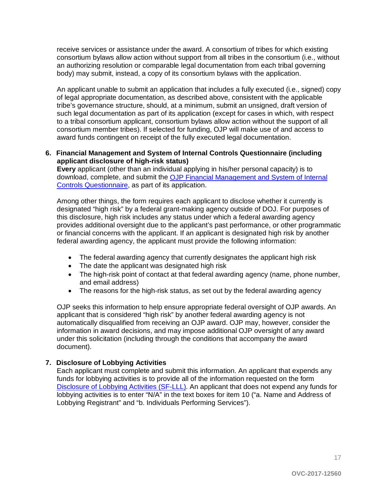receive services or assistance under the award. A consortium of tribes for which existing consortium bylaws allow action without support from all tribes in the consortium (i.e., without an authorizing resolution or comparable legal documentation from each tribal governing body) may submit, instead, a copy of its consortium bylaws with the application.

An applicant unable to submit an application that includes a fully executed (i.e., signed) copy of legal appropriate documentation, as described above, consistent with the applicable tribe's governance structure, should, at a minimum, submit an unsigned, draft version of such legal documentation as part of its application (except for cases in which, with respect to a tribal consortium applicant, consortium bylaws allow action without the support of all consortium member tribes). If selected for funding, OJP will make use of and access to award funds contingent on receipt of the fully executed legal documentation.

#### **6. Financial Management and System of Internal Controls Questionnaire (including applicant disclosure of high-risk status)**

**Every** applicant (other than an individual applying in his/her personal capacity) is to download, complete, and submit the OJP Financial Management and System of Internal [Controls Questionnaire,](http://ojp.gov/funding/Apply/Resources/FinancialCapability.pdf) as part of its application.

Among other things, the form requires each applicant to disclose whether it currently is designated "high risk" by a federal grant-making agency outside of DOJ. For purposes of this disclosure, high risk includes any status under which a federal awarding agency provides additional oversight due to the applicant's past performance, or other programmatic or financial concerns with the applicant. If an applicant is designated high risk by another federal awarding agency, the applicant must provide the following information:

- The federal awarding agency that currently designates the applicant high risk
- The date the applicant was designated high risk
- The high-risk point of contact at that federal awarding agency (name, phone number, and email address)
- The reasons for the high-risk status, as set out by the federal awarding agency

OJP seeks this information to help ensure appropriate federal oversight of OJP awards. An applicant that is considered "high risk" by another federal awarding agency is not automatically disqualified from receiving an OJP award. OJP may, however, consider the information in award decisions, and may impose additional OJP oversight of any award under this solicitation (including through the conditions that accompany the award document).

#### **7. Disclosure of Lobbying Activities**

Each applicant must complete and submit this information. An applicant that expends any funds for lobbying activities is to provide all of the information requested on the form [Disclosure of Lobbying Activities \(SF-LLL\).](http://ojp.gov/funding/Apply/Resources/Disclosure.pdf) An applicant that does not expend any funds for lobbying activities is to enter "N/A" in the text boxes for item 10 ("a. Name and Address of Lobbying Registrant" and "b. Individuals Performing Services").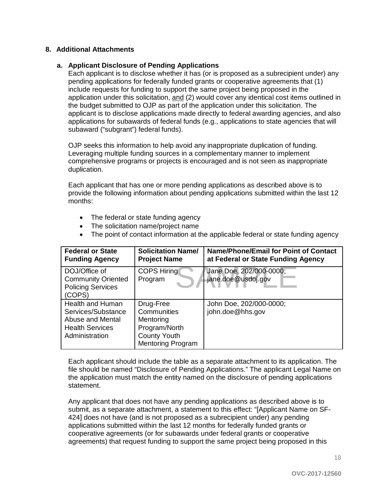#### **8. Additional Attachments**

#### **a. Applicant Disclosure of Pending Applications**

Each applicant is to disclose whether it has (or is proposed as a subrecipient under) any pending applications for federally funded grants or cooperative agreements that (1) include requests for funding to support the same project being proposed in the application under this solicitation, and (2) would cover any identical cost items outlined in the budget submitted to OJP as part of the application under this solicitation. The applicant is to disclose applications made directly to federal awarding agencies, and also applications for subawards of federal funds (e.g., applications to state agencies that will subaward ("subgrant") federal funds).

OJP seeks this information to help avoid any inappropriate duplication of funding. Leveraging multiple funding sources in a complementary manner to implement comprehensive programs or projects is encouraged and is not seen as inappropriate duplication.

Each applicant that has one or more pending applications as described above is to provide the following information about pending applications submitted within the last 12 months:

- The federal or state funding agency
- The solicitation name/project name
- The point of contact information at the applicable federal or state funding agency

| <b>Federal or State</b><br><b>Funding Agency</b>                                                              | <b>Solicitation Name/</b><br><b>Project Name</b>                                                          | <b>Name/Phone/Email for Point of Contact</b><br>at Federal or State Funding Agency |
|---------------------------------------------------------------------------------------------------------------|-----------------------------------------------------------------------------------------------------------|------------------------------------------------------------------------------------|
| DOJ/Office of<br><b>Community Oriented</b><br><b>Policing Services</b><br>(COPS)                              | <b>COPS Hiring</b><br>Program                                                                             | Jane Doe, 202/000-0000;<br>jane.doe@usdoj.gov                                      |
| <b>Health and Human</b><br>Services/Substance<br>Abuse and Mental<br><b>Health Services</b><br>Administration | Drug-Free<br>Communities<br>Mentoring<br>Program/North<br><b>County Youth</b><br><b>Mentoring Program</b> | John Doe, 202/000-0000;<br>john.doe@hhs.gov                                        |

Each applicant should include the table as a separate attachment to its application. The file should be named "Disclosure of Pending Applications." The applicant Legal Name on the application must match the entity named on the disclosure of pending applications statement.

Any applicant that does not have any pending applications as described above is to submit, as a separate attachment, a statement to this effect: "[Applicant Name on SF-424] does not have (and is not proposed as a subrecipient under) any pending applications submitted within the last 12 months for federally funded grants or cooperative agreements (or for subawards under federal grants or cooperative agreements) that request funding to support the same project being proposed in this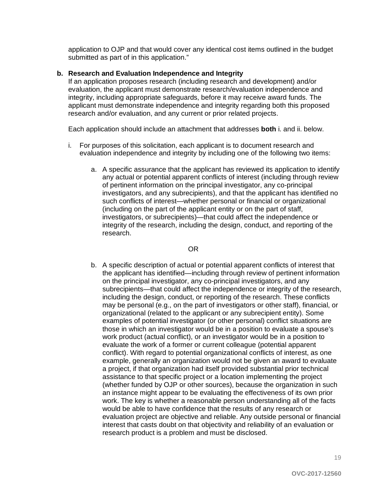application to OJP and that would cover any identical cost items outlined in the budget submitted as part of in this application."

#### **b. Research and Evaluation Independence and Integrity**

If an application proposes research (including research and development) and/or evaluation, the applicant must demonstrate research/evaluation independence and integrity, including appropriate safeguards, before it may receive award funds. The applicant must demonstrate independence and integrity regarding both this proposed research and/or evaluation, and any current or prior related projects.

Each application should include an attachment that addresses **both** i. and ii. below.

- i. For purposes of this solicitation, each applicant is to document research and evaluation independence and integrity by including one of the following two items:
	- a. A specific assurance that the applicant has reviewed its application to identify any actual or potential apparent conflicts of interest (including through review of pertinent information on the principal investigator, any co-principal investigators, and any subrecipients), and that the applicant has identified no such conflicts of interest—whether personal or financial or organizational (including on the part of the applicant entity or on the part of staff, investigators, or subrecipients)—that could affect the independence or integrity of the research, including the design, conduct, and reporting of the research.

#### OR

b. A specific description of actual or potential apparent conflicts of interest that the applicant has identified—including through review of pertinent information on the principal investigator, any co-principal investigators, and any subrecipients—that could affect the independence or integrity of the research, including the design, conduct, or reporting of the research. These conflicts may be personal (e.g., on the part of investigators or other staff), financial, or organizational (related to the applicant or any subrecipient entity). Some examples of potential investigator (or other personal) conflict situations are those in which an investigator would be in a position to evaluate a spouse's work product (actual conflict), or an investigator would be in a position to evaluate the work of a former or current colleague (potential apparent conflict). With regard to potential organizational conflicts of interest, as one example, generally an organization would not be given an award to evaluate a project, if that organization had itself provided substantial prior technical assistance to that specific project or a location implementing the project (whether funded by OJP or other sources), because the organization in such an instance might appear to be evaluating the effectiveness of its own prior work. The key is whether a reasonable person understanding all of the facts would be able to have confidence that the results of any research or evaluation project are objective and reliable. Any outside personal or financial interest that casts doubt on that objectivity and reliability of an evaluation or research product is a problem and must be disclosed.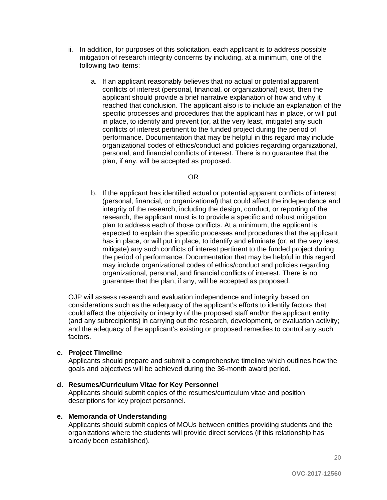- ii. In addition, for purposes of this solicitation, each applicant is to address possible mitigation of research integrity concerns by including, at a minimum, one of the following two items:
	- a. If an applicant reasonably believes that no actual or potential apparent conflicts of interest (personal, financial, or organizational) exist, then the applicant should provide a brief narrative explanation of how and why it reached that conclusion. The applicant also is to include an explanation of the specific processes and procedures that the applicant has in place, or will put in place, to identify and prevent (or, at the very least, mitigate) any such conflicts of interest pertinent to the funded project during the period of performance. Documentation that may be helpful in this regard may include organizational codes of ethics/conduct and policies regarding organizational, personal, and financial conflicts of interest. There is no guarantee that the plan, if any, will be accepted as proposed.

#### OR

b. If the applicant has identified actual or potential apparent conflicts of interest (personal, financial, or organizational) that could affect the independence and integrity of the research, including the design, conduct, or reporting of the research, the applicant must is to provide a specific and robust mitigation plan to address each of those conflicts. At a minimum, the applicant is expected to explain the specific processes and procedures that the applicant has in place, or will put in place, to identify and eliminate (or, at the very least, mitigate) any such conflicts of interest pertinent to the funded project during the period of performance. Documentation that may be helpful in this regard may include organizational codes of ethics/conduct and policies regarding organizational, personal, and financial conflicts of interest. There is no guarantee that the plan, if any, will be accepted as proposed.

OJP will assess research and evaluation independence and integrity based on considerations such as the adequacy of the applicant's efforts to identify factors that could affect the objectivity or integrity of the proposed staff and/or the applicant entity (and any subrecipients) in carrying out the research, development, or evaluation activity; and the adequacy of the applicant's existing or proposed remedies to control any such factors.

#### **c. Project Timeline**

Applicants should prepare and submit a comprehensive timeline which outlines how the goals and objectives will be achieved during the 36-month award period.

#### **d. Resumes/Curriculum Vitae for Key Personnel**

Applicants should submit copies of the resumes/curriculum vitae and position descriptions for key project personnel.

#### **e. Memoranda of Understanding**

Applicants should submit copies of MOUs between entities providing students and the organizations where the students will provide direct services (if this relationship has already been established).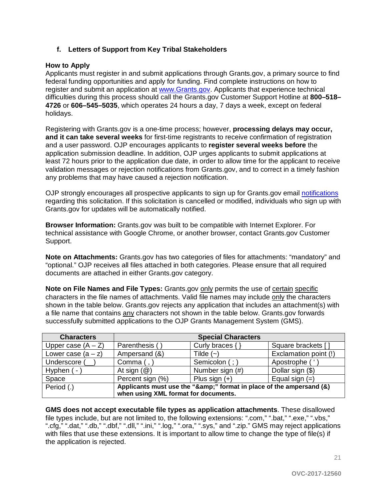#### **f. Letters of Support from Key Tribal Stakeholders**

#### <span id="page-20-0"></span>**How to Apply**

Applicants must register in and submit applications through Grants.gov, a primary source to find federal funding opportunities and apply for funding. Find complete instructions on how to register and submit an application at [www.Grants.gov.](http://www.grants.gov/) Applicants that experience technical difficulties during this process should call the Grants.gov Customer Support Hotline at **800–518– 4726** or **606–545–5035**, which operates 24 hours a day, 7 days a week, except on federal holidays.

Registering with Grants.gov is a one-time process; however, **processing delays may occur, and it can take several weeks** for first-time registrants to receive confirmation of registration and a user password. OJP encourages applicants to **register several weeks before** the application submission deadline. In addition, OJP urges applicants to submit applications at least 72 hours prior to the application due date, in order to allow time for the applicant to receive validation messages or rejection notifications from Grants.gov, and to correct in a timely fashion any problems that may have caused a rejection notification.

OJP strongly encourages all prospective applicants to sign up for Grants.gov email [notifications](http://www.grants.gov/web/grants/manage-subscriptions.html) regarding this solicitation. If this solicitation is cancelled or modified, individuals who sign up with Grants.gov for updates will be automatically notified.

**Browser Information:** Grants.gov was built to be compatible with Internet Explorer. For technical assistance with Google Chrome, or another browser, contact Grants.gov Customer Support.

**Note on Attachments:** Grants.gov has two categories of files for attachments: "mandatory" and "optional." OJP receives all files attached in both categories. Please ensure that all required documents are attached in either Grants.gov category.

**Note on File Names and File Types:** Grants.gov only permits the use of certain specific characters in the file names of attachments. Valid file names may include only the characters shown in the table below. Grants.gov rejects any application that includes an attachment(s) with a file name that contains any characters not shown in the table below. Grants.gov forwards successfully submitted applications to the OJP Grants Management System (GMS).

| <b>Characters</b>                    |                                                                  | <b>Special Characters</b> |                       |
|--------------------------------------|------------------------------------------------------------------|---------------------------|-----------------------|
| Upper case $(A - Z)$                 | Parenthesis (                                                    | Curly braces $\{\}$       | Square brackets []    |
| Lower case $(a - z)$                 | Ampersand (&)                                                    | Tilde $(-)$               | Exclamation point (!) |
| Underscore (                         | Comma $($ , $)$                                                  | Semicolon (;)             | Apostrophe (          |
| Hyphen $(-)$                         | At sign $(\mathcal{Q})$                                          | Number sign (#)           | Dollar sign (\$)      |
| Space                                | Percent sign (%)                                                 | Plus sign $(+)$           | Equal sign $(=)$      |
| Period (.)                           | Applicants must use the "&" format in place of the ampersand (&) |                           |                       |
| when using XML format for documents. |                                                                  |                           |                       |

**GMS does not accept executable file types as application attachments**. These disallowed file types include, but are not limited to, the following extensions: ".com," ".bat," ".exe," ".vbs," ".cfg," ".dat," ".db," ".dbf," ".dll," ".ini," ".log," ".ora," ".sys," and ".zip." GMS may reject applications with files that use these extensions. It is important to allow time to change the type of file(s) if the application is rejected.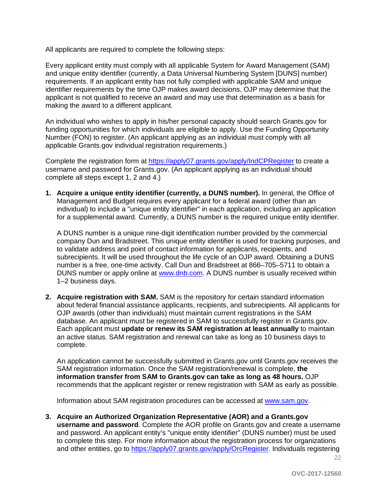All applicants are required to complete the following steps:

Every applicant entity must comply with all applicable System for Award Management (SAM) and unique entity identifier (currently, a Data Universal Numbering System [DUNS] number) requirements. If an applicant entity has not fully complied with applicable SAM and unique identifier requirements by the time OJP makes award decisions, OJP may determine that the applicant is not qualified to receive an award and may use that determination as a basis for making the award to a different applicant.

An individual who wishes to apply in his/her personal capacity should search Grants.gov for funding opportunities for which individuals are eligible to apply. Use the Funding Opportunity Number (FON) to register. (An applicant applying as an individual must comply with all applicable Grants.gov individual registration requirements.)

Complete the registration form at<https://apply07.grants.gov/apply/IndCPRegister> to create a username and password for Grants.gov. (An applicant applying as an individual should complete all steps except 1, 2 and 4.)

**1. Acquire a unique entity identifier (currently, a DUNS number).** In general, the Office of Management and Budget requires every applicant for a federal award (other than an individual) to include a "unique entity identifier" in each application, including an application for a supplemental award. Currently, a DUNS number is the required unique entity identifier.

A DUNS number is a unique nine-digit identification number provided by the commercial company Dun and Bradstreet. This unique entity identifier is used for tracking purposes, and to validate address and point of contact information for applicants, recipients, and subrecipients. It will be used throughout the life cycle of an OJP award. Obtaining a DUNS number is a free, one-time activity. Call Dun and Bradstreet at 866–705–5711 to obtain a DUNS number or apply online at [www.dnb.com.](http://www.dnb.com/) A DUNS number is usually received within 1–2 business days.

**2. Acquire registration with SAM.** SAM is the repository for certain standard information about federal financial assistance applicants, recipients, and subrecipients. All applicants for OJP awards (other than individuals) must maintain current registrations in the SAM database. An applicant must be registered in SAM to successfully register in Grants.gov. Each applicant must **update or renew its SAM registration at least annually** to maintain an active status. SAM registration and renewal can take as long as 10 business days to complete.

An application cannot be successfully submitted in Grants.gov until Grants.gov receives the SAM registration information. Once the SAM registration/renewal is complete, **the information transfer from SAM to Grants.gov can take as long as 48 hours.** OJP recommends that the applicant register or renew registration with SAM as early as possible.

Information about SAM registration procedures can be accessed at [www.sam.gov.](https://www.sam.gov/portal/public/SAM/?#1)

**3. Acquire an Authorized Organization Representative (AOR) and a Grants.gov username and password**. Complete the AOR profile on Grants.gov and create a username and password. An applicant entity's "unique entity identifier" (DUNS number) must be used to complete this step. For more information about the registration process for organizations and other entities, go to [https://apply07.grants.gov/apply/OrcRegister.](https://apply07.grants.gov/apply/OrcRegister) Individuals registering

 $22$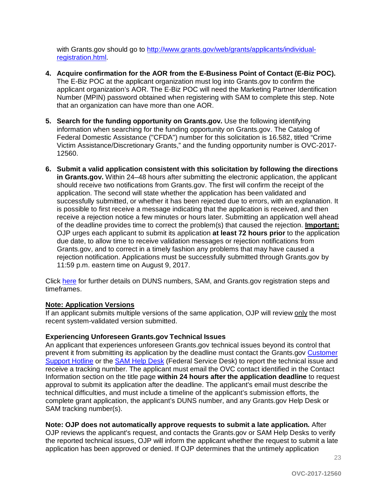with Grants.gov should go to [http://www.grants.gov/web/grants/applicants/individual](http://www.grants.gov/web/grants/applicants/individual-registration.html)[registration.html.](http://www.grants.gov/web/grants/applicants/individual-registration.html)

- **4. Acquire confirmation for the AOR from the E-Business Point of Contact (E-Biz POC).**  The E-Biz POC at the applicant organization must log into Grants.gov to confirm the applicant organization's AOR. The E-Biz POC will need the Marketing Partner Identification Number (MPIN) password obtained when registering with SAM to complete this step. Note that an organization can have more than one AOR.
- **5. Search for the funding opportunity on Grants.gov.** Use the following identifying information when searching for the funding opportunity on Grants.gov. The Catalog of Federal Domestic Assistance ("CFDA") number for this solicitation is 16.582, titled "Crime Victim Assistance/Discretionary Grants," and the funding opportunity number is OVC-2017- 12560.
- **6. Submit a valid application consistent with this solicitation by following the directions in Grants.gov.** Within 24–48 hours after submitting the electronic application, the applicant should receive two notifications from Grants.gov. The first will confirm the receipt of the application. The second will state whether the application has been validated and successfully submitted, or whether it has been rejected due to errors, with an explanation. It is possible to first receive a message indicating that the application is received, and then receive a rejection notice a few minutes or hours later. Submitting an application well ahead of the deadline provides time to correct the problem(s) that caused the rejection. **Important:** OJP urges each applicant to submit its application **at least 72 hours prior** to the application due date, to allow time to receive validation messages or rejection notifications from Grants.gov, and to correct in a timely fashion any problems that may have caused a rejection notification. Applications must be successfully submitted through Grants.gov by 11:59 p.m. eastern time on August 9, 2017.

Click [here](http://www.grants.gov/web/grants/applicants/organization-registration.html) for further details on DUNS numbers, SAM, and Grants.gov registration steps and timeframes.

#### **Note: Application Versions**

If an applicant submits multiple versions of the same application, OJP will review only the most recent system-validated version submitted.

#### **Experiencing Unforeseen Grants.gov Technical Issues**

An applicant that experiences unforeseen Grants.gov technical issues beyond its control that prevent it from submitting its application by the deadline must contact the Grants.gov [Customer](http://www.grants.gov/web/grants/support.html)  [Support Hotline](http://www.grants.gov/web/grants/support.html) or the [SAM Help Desk](https://www.fsd.gov/fsd-gov/home.do) (Federal Service Desk) to report the technical issue and receive a tracking number. The applicant must email the OVC contact identified in the Contact Information section on the title page **within 24 hours after the application deadline** to request approval to submit its application after the deadline. The applicant's email must describe the technical difficulties, and must include a timeline of the applicant's submission efforts, the complete grant application, the applicant's DUNS number, and any Grants.gov Help Desk or SAM tracking number(s).

#### **Note: OJP does not automatically approve requests to submit a late application***.* After

OJP reviews the applicant's request, and contacts the Grants.gov or SAM Help Desks to verify the reported technical issues, OJP will inform the applicant whether the request to submit a late application has been approved or denied. If OJP determines that the untimely application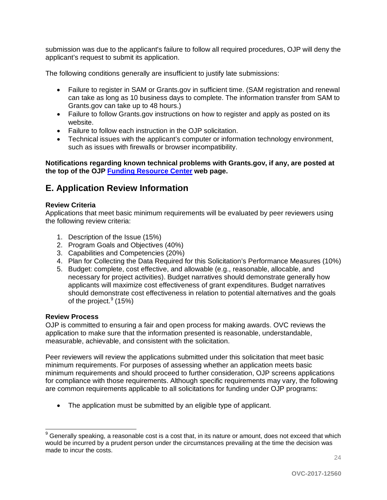submission was due to the applicant's failure to follow all required procedures, OJP will deny the applicant's request to submit its application.

The following conditions generally are insufficient to justify late submissions:

- Failure to register in SAM or Grants.gov in sufficient time. (SAM registration and renewal can take as long as 10 business days to complete. The information transfer from SAM to Grants.gov can take up to 48 hours.)
- Failure to follow Grants.gov instructions on how to register and apply as posted on its website.
- Failure to follow each instruction in the OJP solicitation.
- Technical issues with the applicant's computer or information technology environment, such as issues with firewalls or browser incompatibility.

**Notifications regarding known technical problems with Grants.gov, if any, are posted at the top of the OJP [Funding Resource Center](http://ojp.gov/funding/index.htm) web page.**

### <span id="page-23-0"></span>**E. Application Review Information**

#### <span id="page-23-1"></span>**Review Criteria**

Applications that meet basic minimum requirements will be evaluated by peer reviewers using the following review criteria:

- 1. Description of the Issue (15%)
- 2. Program Goals and Objectives (40%)
- 3. Capabilities and Competencies (20%)
- 4. Plan for Collecting the Data Required for this Solicitation's Performance Measures (10%)
- 5. Budget: complete, cost effective, and allowable (e.g., reasonable, allocable, and necessary for project activities). Budget narratives should demonstrate generally how applicants will maximize cost effectiveness of grant expenditures. Budget narratives should demonstrate cost effectiveness in relation to potential alternatives and the goals of the project.<sup>[9](#page-23-3)</sup> (15%)

#### <span id="page-23-2"></span>**Review Process**

OJP is committed to ensuring a fair and open process for making awards. OVC reviews the application to make sure that the information presented is reasonable, understandable, measurable, achievable, and consistent with the solicitation.

Peer reviewers will review the applications submitted under this solicitation that meet basic minimum requirements. For purposes of assessing whether an application meets basic minimum requirements and should proceed to further consideration, OJP screens applications for compliance with those requirements. Although specific requirements may vary, the following are common requirements applicable to all solicitations for funding under OJP programs:

• The application must be submitted by an eligible type of applicant.

<span id="page-23-3"></span> $9$  Generally speaking, a reasonable cost is a cost that, in its nature or amount, does not exceed that which would be incurred by a prudent person under the circumstances prevailing at the time the decision was made to incur the costs.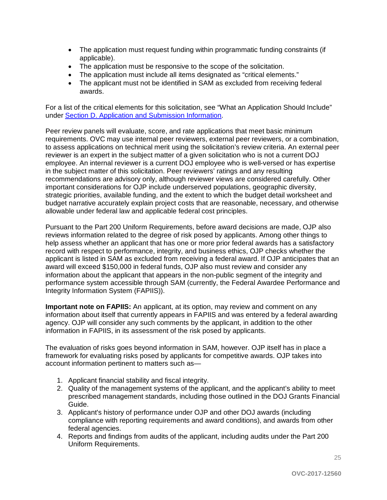- The application must request funding within programmatic funding constraints (if applicable).
- The application must be responsive to the scope of the solicitation.
- The application must include all items designated as "critical elements."
- The applicant must not be identified in SAM as excluded from receiving federal awards.

For a list of the critical elements for this solicitation, see "What an Application Should Include" under [Section D. Application and Submission Information.](#page-8-0)

Peer review panels will evaluate, score, and rate applications that meet basic minimum requirements. OVC may use internal peer reviewers, external peer reviewers, or a combination, to assess applications on technical merit using the solicitation's review criteria. An external peer reviewer is an expert in the subject matter of a given solicitation who is not a current DOJ employee. An internal reviewer is a current DOJ employee who is well-versed or has expertise in the subject matter of this solicitation. Peer reviewers' ratings and any resulting recommendations are advisory only, although reviewer views are considered carefully. Other important considerations for OJP include underserved populations, geographic diversity, strategic priorities, available funding, and the extent to which the budget detail worksheet and budget narrative accurately explain project costs that are reasonable, necessary, and otherwise allowable under federal law and applicable federal cost principles.

Pursuant to the Part 200 Uniform Requirements, before award decisions are made, OJP also reviews information related to the degree of risk posed by applicants. Among other things to help assess whether an applicant that has one or more prior federal awards has a satisfactory record with respect to performance, integrity, and business ethics, OJP checks whether the applicant is listed in SAM as excluded from receiving a federal award. If OJP anticipates that an award will exceed \$150,000 in federal funds, OJP also must review and consider any information about the applicant that appears in the non-public segment of the integrity and performance system accessible through SAM (currently, the Federal Awardee Performance and Integrity Information System (FAPIIS)).

**Important note on FAPIIS:** An applicant, at its option, may review and comment on any information about itself that currently appears in FAPIIS and was entered by a federal awarding agency. OJP will consider any such comments by the applicant, in addition to the other information in FAPIIS, in its assessment of the risk posed by applicants.

The evaluation of risks goes beyond information in SAM, however. OJP itself has in place a framework for evaluating risks posed by applicants for competitive awards. OJP takes into account information pertinent to matters such as—

- 1. Applicant financial stability and fiscal integrity.
- 2. Quality of the management systems of the applicant, and the applicant's ability to meet prescribed management standards, including those outlined in the DOJ Grants Financial Guide.
- 3. Applicant's history of performance under OJP and other DOJ awards (including compliance with reporting requirements and award conditions), and awards from other federal agencies.
- 4. Reports and findings from audits of the applicant, including audits under the Part 200 Uniform Requirements.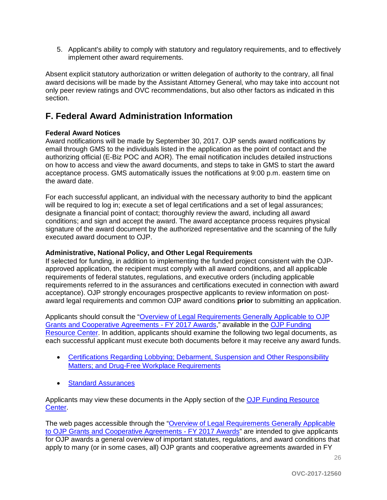5. Applicant's ability to comply with statutory and regulatory requirements, and to effectively implement other award requirements.

Absent explicit statutory authorization or written delegation of authority to the contrary, all final award decisions will be made by the Assistant Attorney General, who may take into account not only peer review ratings and OVC recommendations, but also other factors as indicated in this section.

## <span id="page-25-0"></span>**F. Federal Award Administration Information**

#### <span id="page-25-1"></span>**Federal Award Notices**

Award notifications will be made by September 30, 2017. OJP sends award notifications by email through GMS to the individuals listed in the application as the point of contact and the authorizing official (E-Biz POC and AOR). The email notification includes detailed instructions on how to access and view the award documents, and steps to take in GMS to start the award acceptance process. GMS automatically issues the notifications at 9:00 p.m. eastern time on the award date.

For each successful applicant, an individual with the necessary authority to bind the applicant will be required to log in; execute a set of legal certifications and a set of legal assurances; designate a financial point of contact; thoroughly review the award, including all award conditions; and sign and accept the award. The award acceptance process requires physical signature of the award document by the authorized representative and the scanning of the fully executed award document to OJP.

#### <span id="page-25-2"></span>**Administrative, National Policy, and Other Legal Requirements**

If selected for funding, in addition to implementing the funded project consistent with the OJPapproved application, the recipient must comply with all award conditions, and all applicable requirements of federal statutes, regulations, and executive orders (including applicable requirements referred to in the assurances and certifications executed in connection with award acceptance). OJP strongly encourages prospective applicants to review information on postaward legal requirements and common OJP award conditions **prior** to submitting an application.

Applicants should consult the ["Overview of Legal Requirements Generally Applicable to OJP](http://ojp.gov/funding/Explore/SolicitationRequirements/index.htm)  [Grants and Cooperative Agreements - FY 2017 Awards,](http://ojp.gov/funding/Explore/SolicitationRequirements/index.htm)" available in the [OJP Funding](http://ojp.gov/funding/index.htm)  [Resource Center.](http://ojp.gov/funding/index.htm) In addition, applicants should examine the following two legal documents, as each successful applicant must execute both documents before it may receive any award funds.

- [Certifications Regarding Lobbying; Debarment, Suspension and Other Responsibility](http://ojp.gov/funding/Apply/Resources/Certifications.pdf)  [Matters; and Drug-Free Workplace Requirements](http://ojp.gov/funding/Apply/Resources/Certifications.pdf)
- [Standard Assurances](http://ojp.gov/funding/Apply/Resources/StandardAssurances.pdf)

Applicants may view these documents in the Apply section of the [OJP Funding Resource](http://ojp.gov/funding/index.htm)  [Center.](http://ojp.gov/funding/index.htm)

The web pages accessible through the "Overview of Legal Requirements Generally Applicable [to OJP Grants and Cooperative Agreements - FY 2017 Awards"](http://ojp.gov/funding/Explore/SolicitationRequirements/index.htm) are intended to give applicants for OJP awards a general overview of important statutes, regulations, and award conditions that apply to many (or in some cases, all) OJP grants and cooperative agreements awarded in FY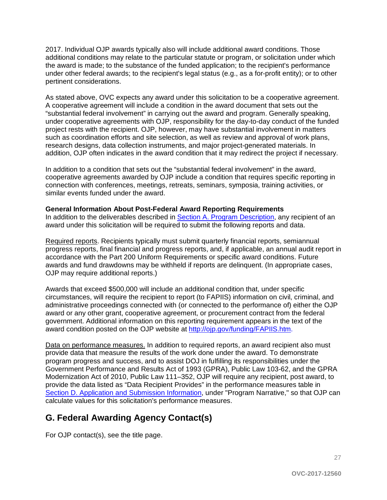2017. Individual OJP awards typically also will include additional award conditions. Those additional conditions may relate to the particular statute or program, or solicitation under which the award is made; to the substance of the funded application; to the recipient's performance under other federal awards; to the recipient's legal status (e.g., as a for-profit entity); or to other pertinent considerations.

As stated above, OVC expects any award under this solicitation to be a cooperative agreement. A cooperative agreement will include a condition in the award document that sets out the "substantial federal involvement" in carrying out the award and program. Generally speaking, under cooperative agreements with OJP, responsibility for the day-to-day conduct of the funded project rests with the recipient. OJP, however, may have substantial involvement in matters such as coordination efforts and site selection, as well as review and approval of work plans, research designs, data collection instruments, and major project-generated materials. In addition, OJP often indicates in the award condition that it may redirect the project if necessary.

In addition to a condition that sets out the "substantial federal involvement" in the award, cooperative agreements awarded by OJP include a condition that requires specific reporting in connection with conferences, meetings, retreats, seminars, symposia, training activities, or similar events funded under the award.

#### <span id="page-26-0"></span>**General Information About Post-Federal Award Reporting Requirements**

In addition to the deliverables described in [Section A. Program Description,](#page-3-0) any recipient of an award under this solicitation will be required to submit the following reports and data.

Required reports. Recipients typically must submit quarterly financial reports, semiannual progress reports, final financial and progress reports, and, if applicable, an annual audit report in accordance with the Part 200 Uniform Requirements or specific award conditions. Future awards and fund drawdowns may be withheld if reports are delinquent. (In appropriate cases, OJP may require additional reports.)

Awards that exceed \$500,000 will include an additional condition that, under specific circumstances, will require the recipient to report (to FAPIIS) information on civil, criminal, and administrative proceedings connected with (or connected to the performance of) either the OJP award or any other grant, cooperative agreement, or procurement contract from the federal government. Additional information on this reporting requirement appears in the text of the award condition posted on the OJP website at [http://ojp.gov/funding/FAPIIS.htm.](http://ojp.gov/funding/FAPIIS.htm)

Data on performance measures. In addition to required reports, an award recipient also must provide data that measure the results of the work done under the award. To demonstrate program progress and success, and to assist DOJ in fulfilling its responsibilities under the Government Performance and Results Act of 1993 (GPRA), Public Law 103-62, and the GPRA Modernization Act of 2010, Public Law 111–352, OJP will require any recipient, post award, to provide the data listed as "Data Recipient Provides" in the performance measures table in [Section D. Application and Submission Information,](#page-8-0) under "Program Narrative," so that OJP can calculate values for this solicitation's performance measures.

## <span id="page-26-1"></span>**G. Federal Awarding Agency Contact(s)**

For OJP contact(s), see the title page.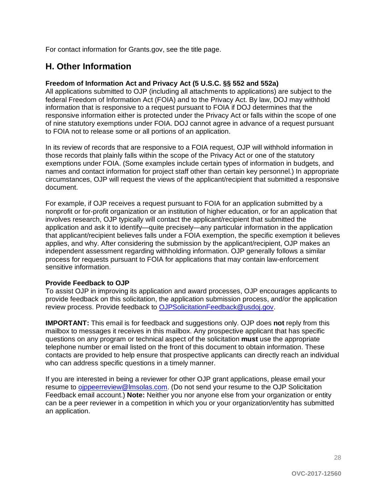For contact information for Grants.gov, see the title page.

## <span id="page-27-0"></span>**H. Other Information**

#### <span id="page-27-1"></span>**Freedom of Information Act and Privacy Act (5 U.S.C. §§ 552 and 552a)**

All applications submitted to OJP (including all attachments to applications) are subject to the federal Freedom of Information Act (FOIA) and to the Privacy Act. By law, DOJ may withhold information that is responsive to a request pursuant to FOIA if DOJ determines that the responsive information either is protected under the Privacy Act or falls within the scope of one of nine statutory exemptions under FOIA. DOJ cannot agree in advance of a request pursuant to FOIA not to release some or all portions of an application.

In its review of records that are responsive to a FOIA request, OJP will withhold information in those records that plainly falls within the scope of the Privacy Act or one of the statutory exemptions under FOIA. (Some examples include certain types of information in budgets, and names and contact information for project staff other than certain key personnel.) In appropriate circumstances, OJP will request the views of the applicant/recipient that submitted a responsive document.

For example, if OJP receives a request pursuant to FOIA for an application submitted by a nonprofit or for-profit organization or an institution of higher education, or for an application that involves research, OJP typically will contact the applicant/recipient that submitted the application and ask it to identify—quite precisely—any particular information in the application that applicant/recipient believes falls under a FOIA exemption, the specific exemption it believes applies, and why. After considering the submission by the applicant/recipient, OJP makes an independent assessment regarding withholding information. OJP generally follows a similar process for requests pursuant to FOIA for applications that may contain law-enforcement sensitive information.

#### <span id="page-27-2"></span>**Provide Feedback to OJP**

To assist OJP in improving its application and award processes, OJP encourages applicants to provide feedback on this solicitation, the application submission process, and/or the application review process. Provide feedback to [OJPSolicitationFeedback@usdoj.gov.](mailto:OJPSolicitationFeedback@usdoj.gov)

**IMPORTANT:** This email is for feedback and suggestions only. OJP does **not** reply from this mailbox to messages it receives in this mailbox. Any prospective applicant that has specific questions on any program or technical aspect of the solicitation **must** use the appropriate telephone number or email listed on the front of this document to obtain information. These contacts are provided to help ensure that prospective applicants can directly reach an individual who can address specific questions in a timely manner.

If you are interested in being a reviewer for other OJP grant applications, please email your resume to [ojppeerreview@lmsolas.com.](mailto:ojppeerreview@lmsolas.com) (Do not send your resume to the OJP Solicitation Feedback email account.) **Note:** Neither you nor anyone else from your organization or entity can be a peer reviewer in a competition in which you or your organization/entity has submitted an application.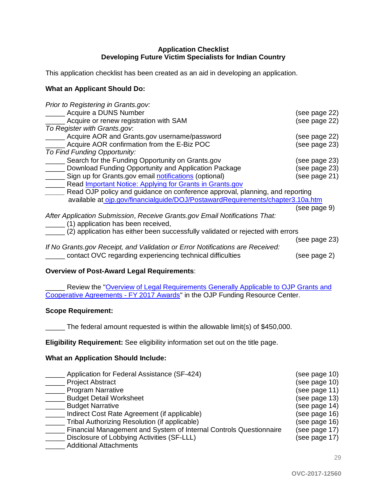#### **Application Checklist Developing Future Victim Specialists for Indian Country**

<span id="page-28-0"></span>This application checklist has been created as an aid in developing an application.

#### **What an Applicant Should Do:**

| Prior to Registering in Grants.gov:                                            |               |
|--------------------------------------------------------------------------------|---------------|
| Acquire a DUNS Number                                                          | (see page 22) |
| Acquire or renew registration with SAM                                         | (see page 22) |
| To Register with Grants.gov.                                                   |               |
| Acquire AOR and Grants.gov username/password                                   | (see page 22) |
| Acquire AOR confirmation from the E-Biz POC                                    | (see page 23) |
| To Find Funding Opportunity:                                                   |               |
| Search for the Funding Opportunity on Grants.gov                               | (see page 23) |
| Download Funding Opportunity and Application Package                           | (see page 23) |
| Sign up for Grants.gov email notifications (optional)                          | (see page 21) |
| Read <i>Important Notice: Applying for Grants in Grants.gov</i>                |               |
| Read OJP policy and guidance on conference approval, planning, and reporting   |               |
| available at ojp.gov/financialguide/DOJ/PostawardRequirements/chapter3.10a.htm |               |
|                                                                                | (see page 9)  |
| After Application Submission, Receive Grants.gov Email Notifications That:     |               |
| (1) application has been received,                                             |               |
| (2) application has either been successfully validated or rejected with errors |               |
|                                                                                | (see page 23) |
| If No Grants.gov Receipt, and Validation or Error Notifications are Received:  |               |
| contact OVC regarding experiencing technical difficulties                      | (see page 2)  |

#### **Overview of Post-Award Legal Requirements**:

\_ Review the "Overview of Legal Requirements Generally Applicable to OJP Grants and [Cooperative Agreements -](http://ojp.gov/funding/Explore/SolicitationRequirements/index.htm) FY 2017 Awards" in the OJP Funding Resource Center.

#### **Scope Requirement:**

\_\_\_\_\_ The federal amount requested is within the allowable limit(s) of \$450,000.

**Eligibility Requirement:** See eligibility information set out on the title page.

#### **What an Application Should Include:**

| Application for Federal Assistance (SF-424)                        | (see page 10) |
|--------------------------------------------------------------------|---------------|
| <b>Project Abstract</b>                                            | (see page 10) |
| <b>Program Narrative</b>                                           | (see page 11) |
| <b>Budget Detail Worksheet</b>                                     | (see page 13) |
| <b>Budget Narrative</b>                                            | (see page 14) |
| Indirect Cost Rate Agreement (if applicable)                       | (see page 16) |
| Tribal Authorizing Resolution (if applicable)                      | (see page 16) |
| Financial Management and System of Internal Controls Questionnaire | (see page 17) |
| Disclosure of Lobbying Activities (SF-LLL)                         | (see page 17) |
| <b>Additional Attachments</b>                                      |               |